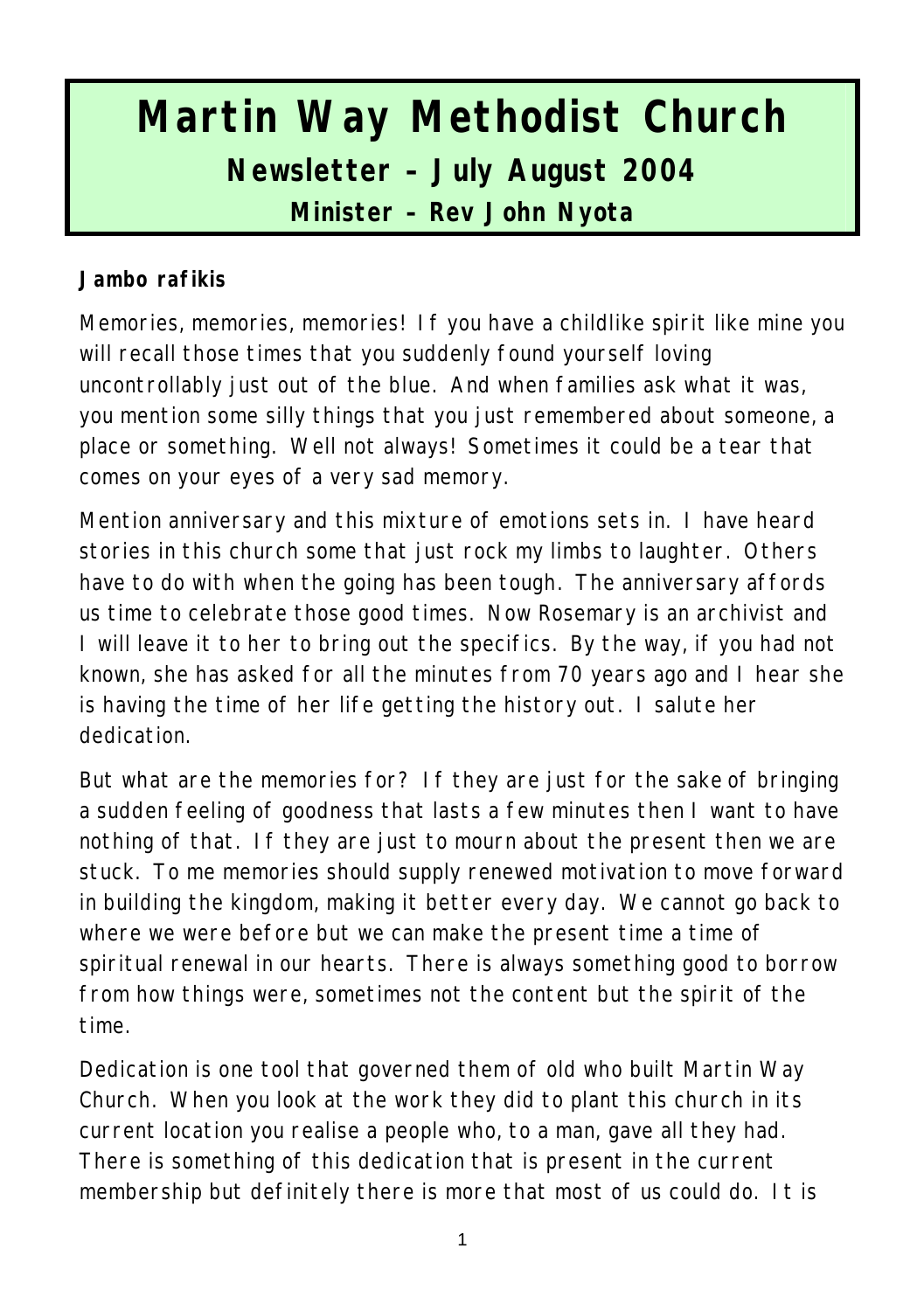# **Martin Way Methodist Church Newsletter – July August 2004**

**Minister – Rev John Nyota**

#### **Jambo rafikis**

Memories, memories, memories! If you have a childlike spirit like mine you will recall those times that you suddenly found yourself loving uncontrollably just out of the blue. And when families ask what it was, you mention some silly things that you just remembered about someone, a place or something. Well not always! Sometimes it could be a tear that comes on your eyes of a very sad memory.

Mention anniversary and this mixture of emotions sets in. I have heard stories in this church some that just rock my limbs to laughter. Others have to do with when the going has been tough. The anniversary affords us time to celebrate those good times. Now Rosemary is an archivist and I will leave it to her to bring out the specifics. By the way, if you had not known, she has asked for all the minutes from 70 years ago and I hear she is having the time of her life getting the history out. I salute her dedication.

But what are the memories for? If they are just for the sake of bringing a sudden feeling of goodness that lasts a few minutes then I want to have nothing of that. If they are just to mourn about the present then we are stuck. To me memories should supply renewed motivation to move forward in building the kingdom, making it better every day. We cannot go back to where we were before but we can make the present time a time of spiritual renewal in our hearts. There is always something good to borrow from how things were, sometimes not the content but the spirit of the time.

Dedication is one tool that governed them of old who built Martin Way Church. When you look at the work they did to plant this church in its current location you realise a people who, to a man, gave all they had. There is something of this dedication that is present in the current membership but definitely there is more that most of us could do. It is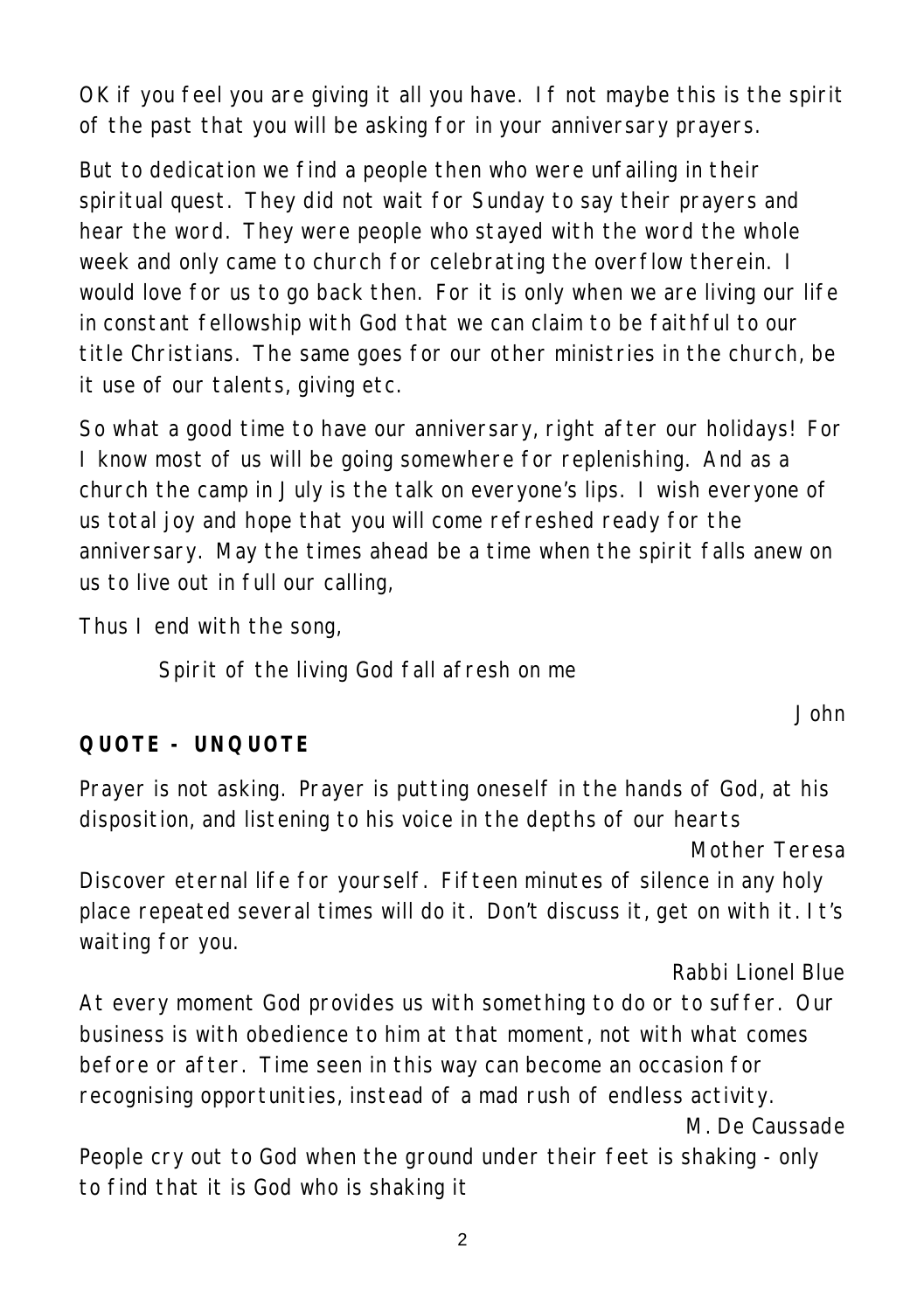OK if you feel you are giving it all you have. If not maybe this is the spirit of the past that you will be asking for in your anniversary prayers.

But to dedication we find a people then who were unfailing in their spiritual quest. They did not wait for Sunday to say their prayers and hear the word. They were people who stayed with the word the whole week and only came to church for celebrating the overflow therein. I would love for us to go back then. For it is only when we are living our life in constant fellowship with God that we can claim to be faithful to our title Christians. The same goes for our other ministries in the church, be it use of our talents, giving etc.

So what a good time to have our anniversary, right after our holidays! For I know most of us will be going somewhere for replenishing. And as a church the camp in July is the talk on everyone's lips. I wish everyone of us total joy and hope that you will come refreshed ready for the anniversary. May the times ahead be a time when the spirit falls anew on us to live out in full our calling,

Thus I end with the song,

Spirit of the living God fall afresh on me

## **QUOTE - UNQUOTE**

Prayer is not asking. Prayer is putting oneself in the hands of God, at his disposition, and listening to his voice in the depths of our hearts

*Mother Teresa*

*John* 

Discover eternal life for yourself. Fifteen minutes of silence in any holy place repeated several times will do it. Don't discuss it, get on with it. It's waiting for you.

#### *Rabbi Lionel Blue*

At every moment God provides us with something to do or to suffer. Our business is with obedience to him at that moment, not with what comes before or after. Time seen in this way can become an occasion for recognising opportunities, instead of a mad rush of endless activity. *M. De Caussade*

People cry out to God when the ground under their feet is shaking - only to find that it is God who is shaking it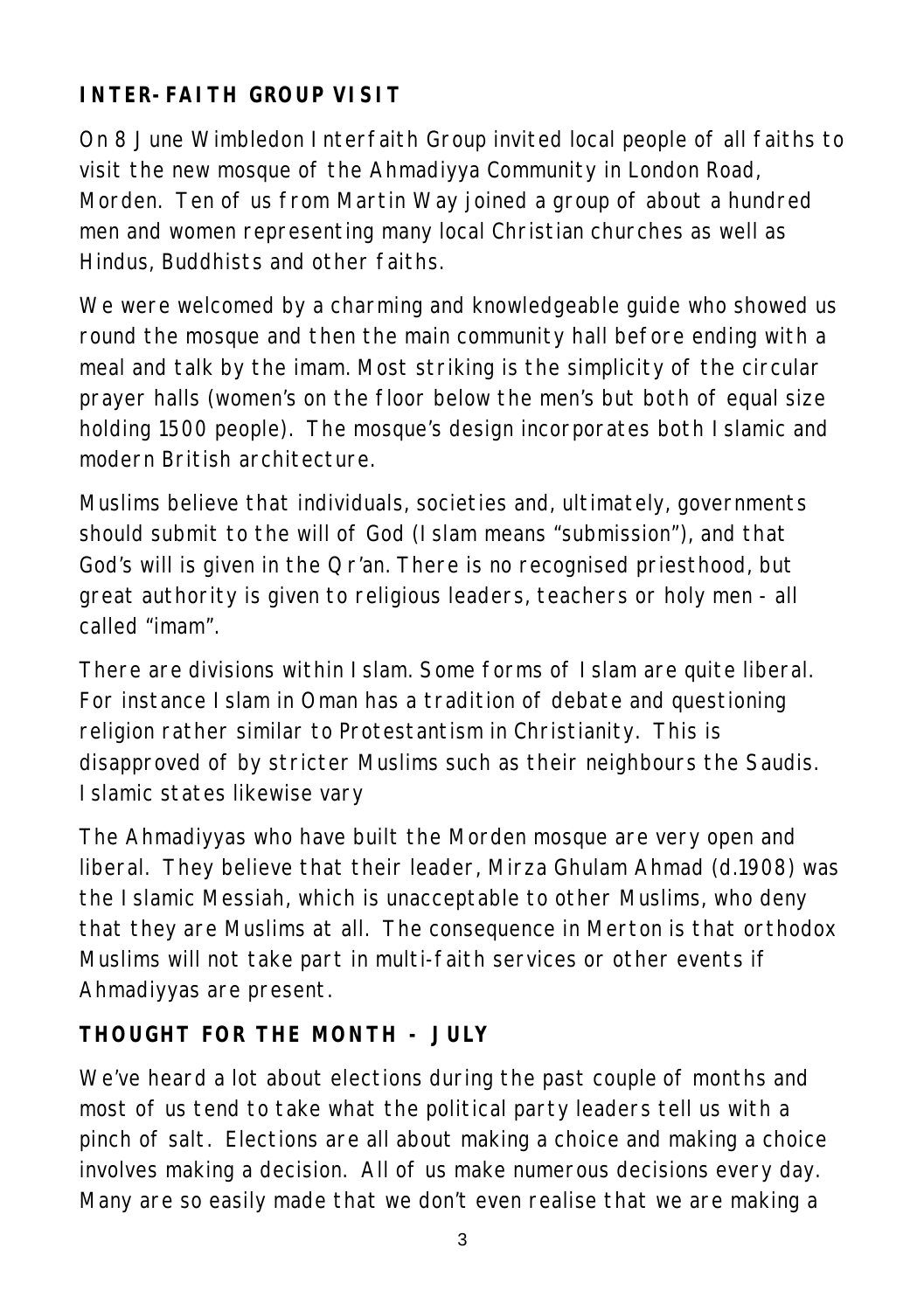# **INTER-FAITH GROUP VISIT**

On 8 June Wimbledon Interfaith Group invited local people of all faiths to visit the new mosque of the Ahmadiyya Community in London Road, Morden. Ten of us from Martin Way joined a group of about a hundred men and women representing many local Christian churches as well as Hindus, Buddhists and other faiths.

We were welcomed by a charming and knowledgeable guide who showed us round the mosque and then the main community hall before ending with a meal and talk by the imam. Most striking is the simplicity of the circular prayer halls (women's on the floor below the men's but both of equal size holding 1500 people). The mosque's design incorporates both Islamic and modern British architecture.

Muslims believe that individuals, societies and, ultimately, governments should submit to the will of God (Islam means "submission"), and that God's will is given in the Qr'an. There is no recognised priesthood, but great authority is given to religious leaders, teachers or holy men - all called "imam".

There are divisions within Islam. Some forms of Islam are quite liberal. For instance Islam in Oman has a tradition of debate and questioning religion rather similar to Protestantism in Christianity. This is disapproved of by stricter Muslims such as their neighbours the Saudis. Islamic states likewise vary

The Ahmadiyyas who have built the Morden mosque are very open and liberal. They believe that their leader, Mirza Ghulam Ahmad (d.1908) was the Islamic Messiah, which is unacceptable to other Muslims, who deny that they are Muslims at all. The consequence in Merton is that orthodox Muslims will not take part in multi-faith services or other events if Ahmadiyyas are present.

## **THOUGHT FOR THE MONTH - JULY**

We've heard a lot about elections during the past couple of months and most of us tend to take what the political party leaders tell us with a pinch of salt. Elections are all about making a choice and making a choice involves making a decision. All of us make numerous decisions every day. Many are so easily made that we don't even realise that we are making a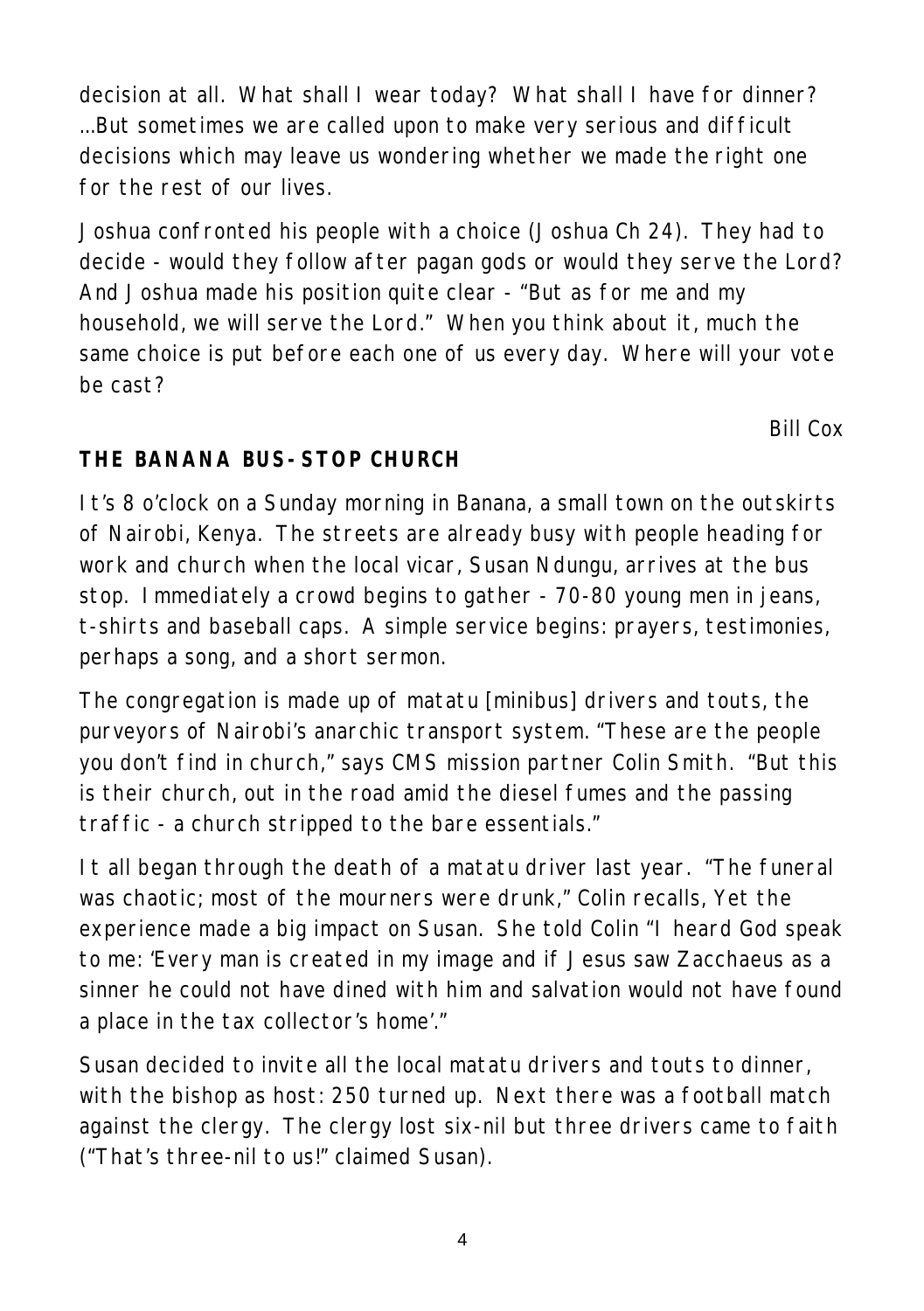decision at all. What shall I wear today? What shall I have for dinner? ...But sometimes we are called upon to make very serious and difficult decisions which may leave us wondering whether we made the right one for the rest of our lives.

Joshua confronted his people with a choice (Joshua Ch 24). They had to decide - would they follow after pagan gods or would they serve the Lord? And Joshua made his position quite clear - "But as for me and my household, we will serve the Lord." When you think about it, much the same choice is put before each one of us every day. Where will your vote be cast?

*Bill Cox*

# **THE BANANA BUS-STOP CHURCH**

It's 8 o'clock on a Sunday morning in Banana, a small town on the outskirts of Nairobi, Kenya. The streets are already busy with people heading for work and church when the local vicar, Susan Ndungu, arrives at the bus stop. Immediately a crowd begins to gather - 70-80 young men in jeans, t-shirts and baseball caps. A simple service begins: prayers, testimonies, perhaps a song, and a short sermon.

The congregation is made up of matatu [minibus] drivers and touts, the purveyors of Nairobi's anarchic transport system. "These are the people you don't find in church," says CMS mission partner Colin Smith. "But this is their church, out in the road amid the diesel fumes and the passing traffic - a church stripped to the bare essentials."

It all began through the death of a matatu driver last year. "The funeral was chaotic; most of the mourners were drunk," Colin recalls, Yet the experience made a big impact on Susan. She told Colin "I heard God speak to me: 'Every man is created in my image and if Jesus saw Zacchaeus as a sinner he could not have dined with him and salvation would not have found a place in the tax collector's home'."

Susan decided to invite all the local matatu drivers and touts to dinner, with the bishop as host: 250 turned up. Next there was a football match against the clergy. The clergy lost six-nil but three drivers came to faith ("That's three-nil to us!" claimed Susan).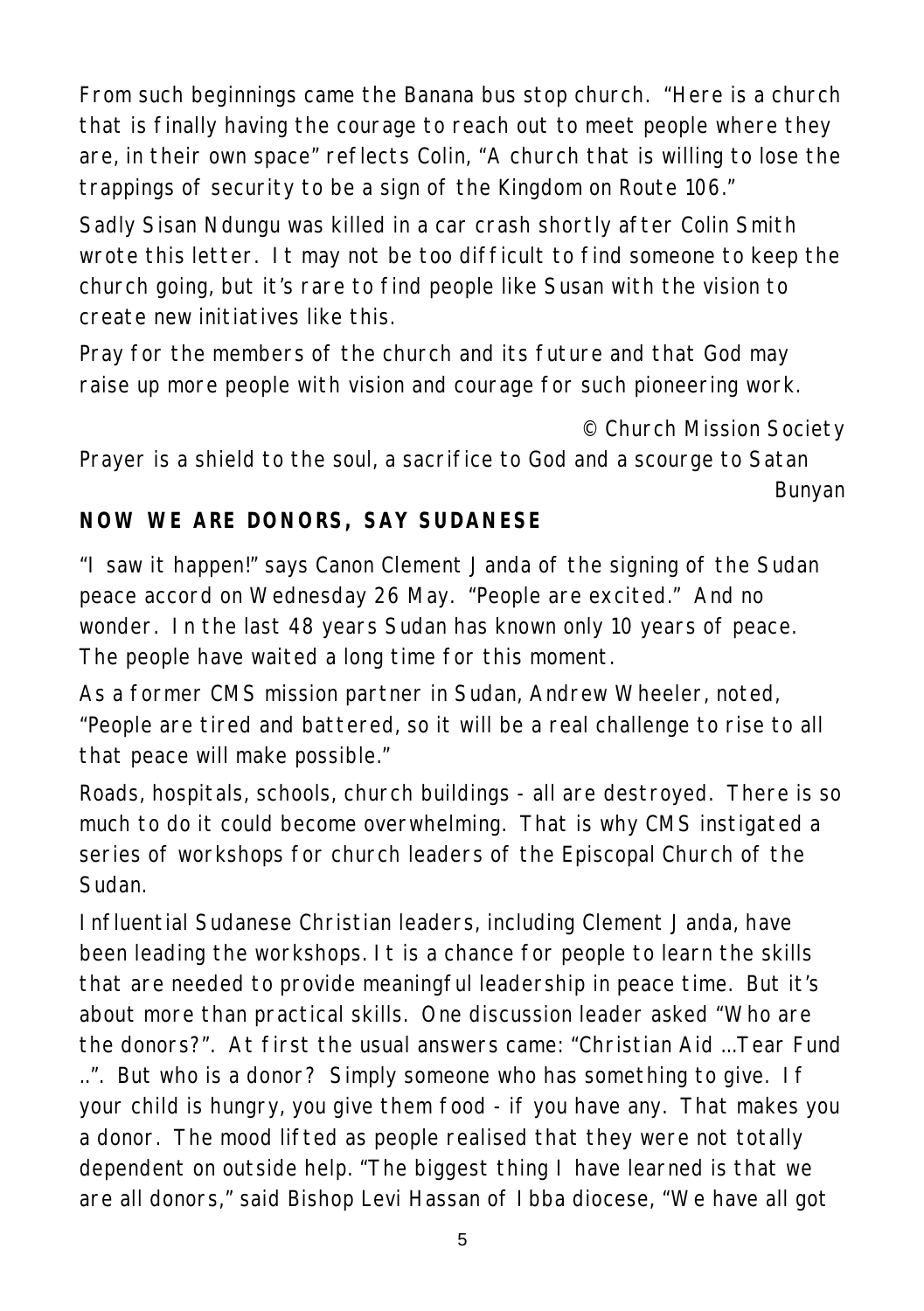From such beginnings came the Banana bus stop church. "Here is a church that is finally having the courage to reach out to meet people where they are, in their own space" reflects Colin, "A church that is willing to lose the trappings of security to be a sign of the Kingdom on Route 106."

Sadly Sisan Ndungu was killed in a car crash shortly after Colin Smith wrote this letter. It may not be too difficult to find someone to keep the church going, but it's rare to find people like Susan with the vision to create new initiatives like this.

Pray for the members of the church and its future and that God may raise up more people with vision and courage for such pioneering work.

#### *© Church Mission Society*

*Prayer is a shield to the soul, a sacrifice to God and a scourge to Satan Bunyan*

## **NOW WE ARE DONORS, SAY SUDANESE**

"I saw it happen!" says Canon Clement Janda of the signing of the Sudan peace accord on Wednesday 26 May. "People are excited." And no wonder. In the last 48 years Sudan has known only 10 years of peace. The people have waited a long time for this moment.

As a former CMS mission partner in Sudan, Andrew Wheeler, noted, "People are tired and battered, so it will be a real challenge to rise to all that peace will make possible."

Roads, hospitals, schools, church buildings - all are destroyed. There is so much to do it could become overwhelming. That is why CMS instigated a series of workshops for church leaders of the Episcopal Church of the Sudan.

Influential Sudanese Christian leaders, including Clement Janda, have been leading the workshops. It is a chance for people to learn the skills that are needed to provide meaningful leadership in peace time. But it's about more than practical skills. One discussion leader asked "Who are the donors?". At first the usual answers came: "Christian Aid ...Tear Fund ..". But who is a donor? Simply someone who has something to give. If your child is hungry, you give them food - if you have any. That makes you a donor. The mood lifted as people realised that they were not totally dependent on outside help. "The biggest thing I have learned is that we are all donors," said Bishop Levi Hassan of Ibba diocese, "We have all got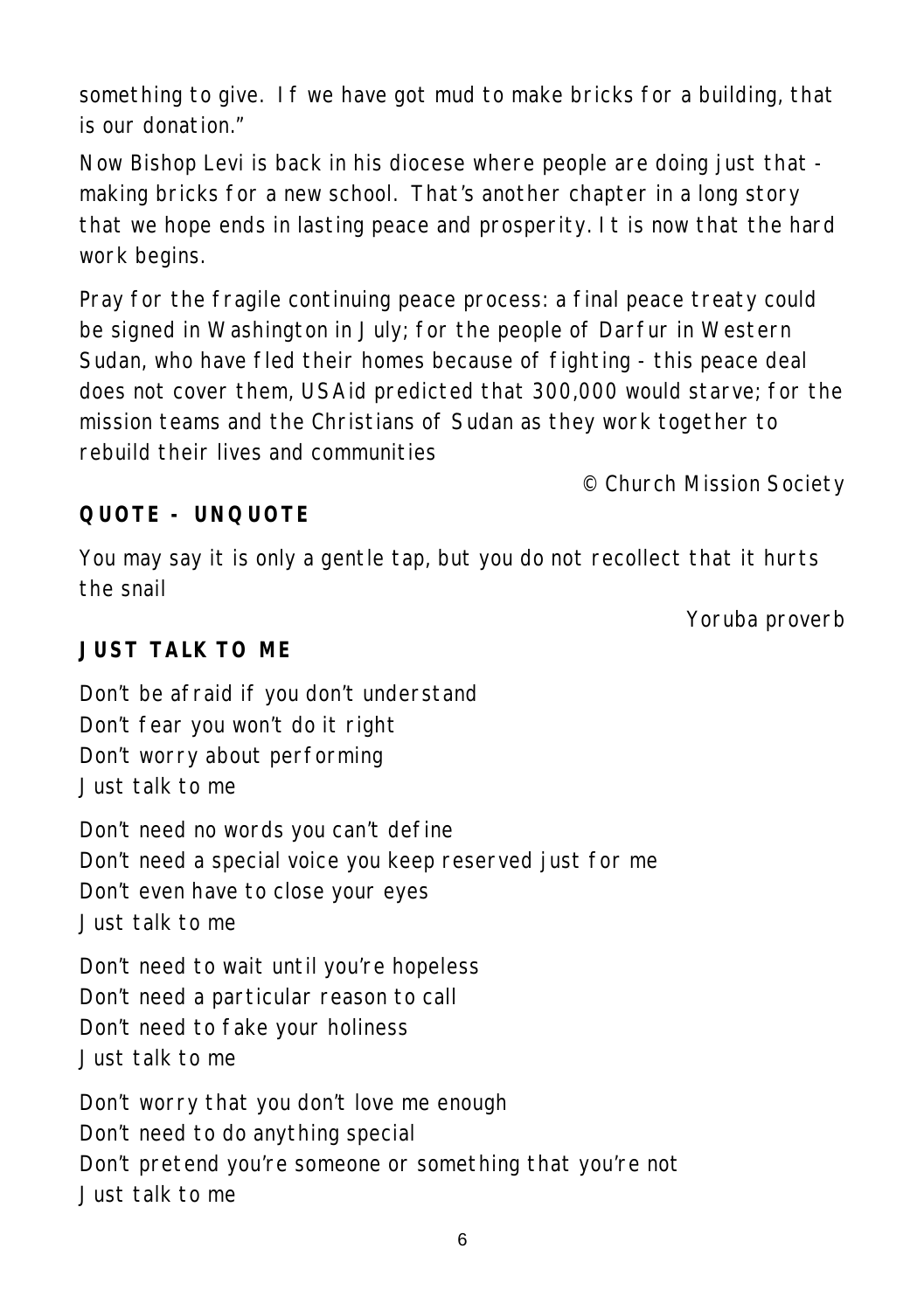something to give. If we have got mud to make bricks for a building, that is our donation."

Now Bishop Levi is back in his diocese where people are doing just that making bricks for a new school. That's another chapter in a long story that we hope ends in lasting peace and prosperity. It is now that the hard work begins.

Pray for the fragile continuing peace process: a final peace treaty could be signed in Washington in July; for the people of Darfur in Western Sudan, who have fled their homes because of fighting - this peace deal does not cover them, USAid predicted that 300,000 would starve; for the mission teams and the Christians of Sudan as they work together to rebuild their lives and communities

*© Church Mission Society*

## **QUOTE - UNQUOTE**

You may say it is only a gentle tap, but you do not recollect that it hurts the snail

*Yoruba proverb*

#### **JUST TALK TO ME**

Don't be afraid if you don't understand Don't fear you won't do it right Don't worry about performing Just talk to me Don't need no words you can't define Don't need a special voice you keep reserved just for me Don't even have to close your eyes Just talk to me Don't need to wait until you're hopeless Don't need a particular reason to call Don't need to fake your holiness Just talk to me

Don't worry that you don't love me enough Don't need to do anything special Don't pretend you're someone or something that you're not Just talk to me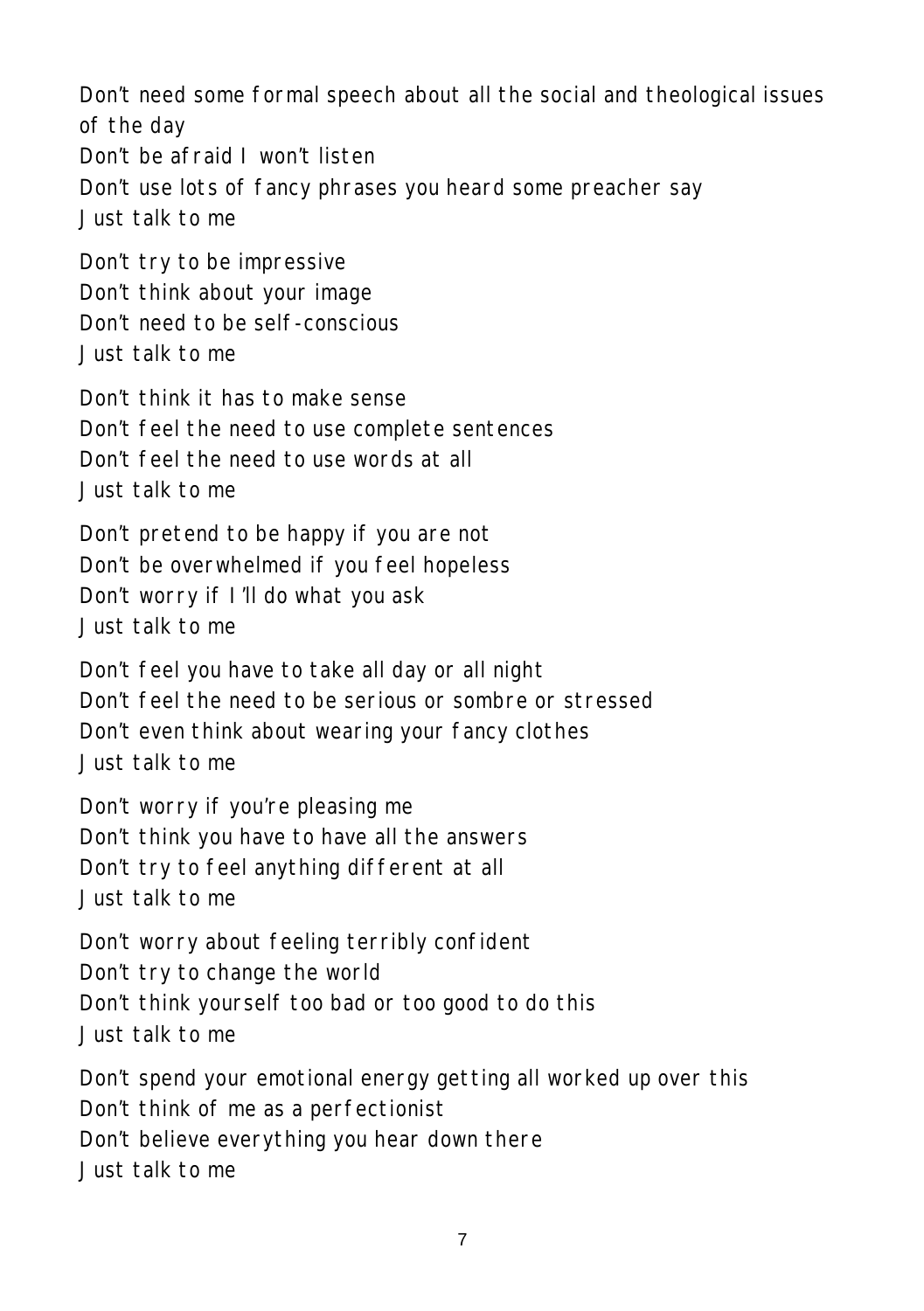Don't need some formal speech about all the social and theological issues of the day Don't be afraid I won't listen Don't use lots of fancy phrases you heard some preacher say Just talk to me Don't try to be impressive Don't think about your image Don't need to be self-conscious Just talk to me Don't think it has to make sense Don't feel the need to use complete sentences Don't feel the need to use words at all Just talk to me Don't pretend to be happy if you are not Don't be overwhelmed if you feel hopeless Don't worry if I'll do what you ask Just talk to me Don't feel you have to take all day or all night Don't feel the need to be serious or sombre or stressed Don't even think about wearing your fancy clothes Just talk to me Don't worry if you're pleasing me Don't think you have to have all the answers Don't try to feel anything different at all Just talk to me Don't worry about feeling terribly confident Don't try to change the world Don't think yourself too bad or too good to do this Just talk to me Don't spend your emotional energy getting all worked up over this Don't think of me as a perfectionist Don't believe everything you hear down there Just talk to me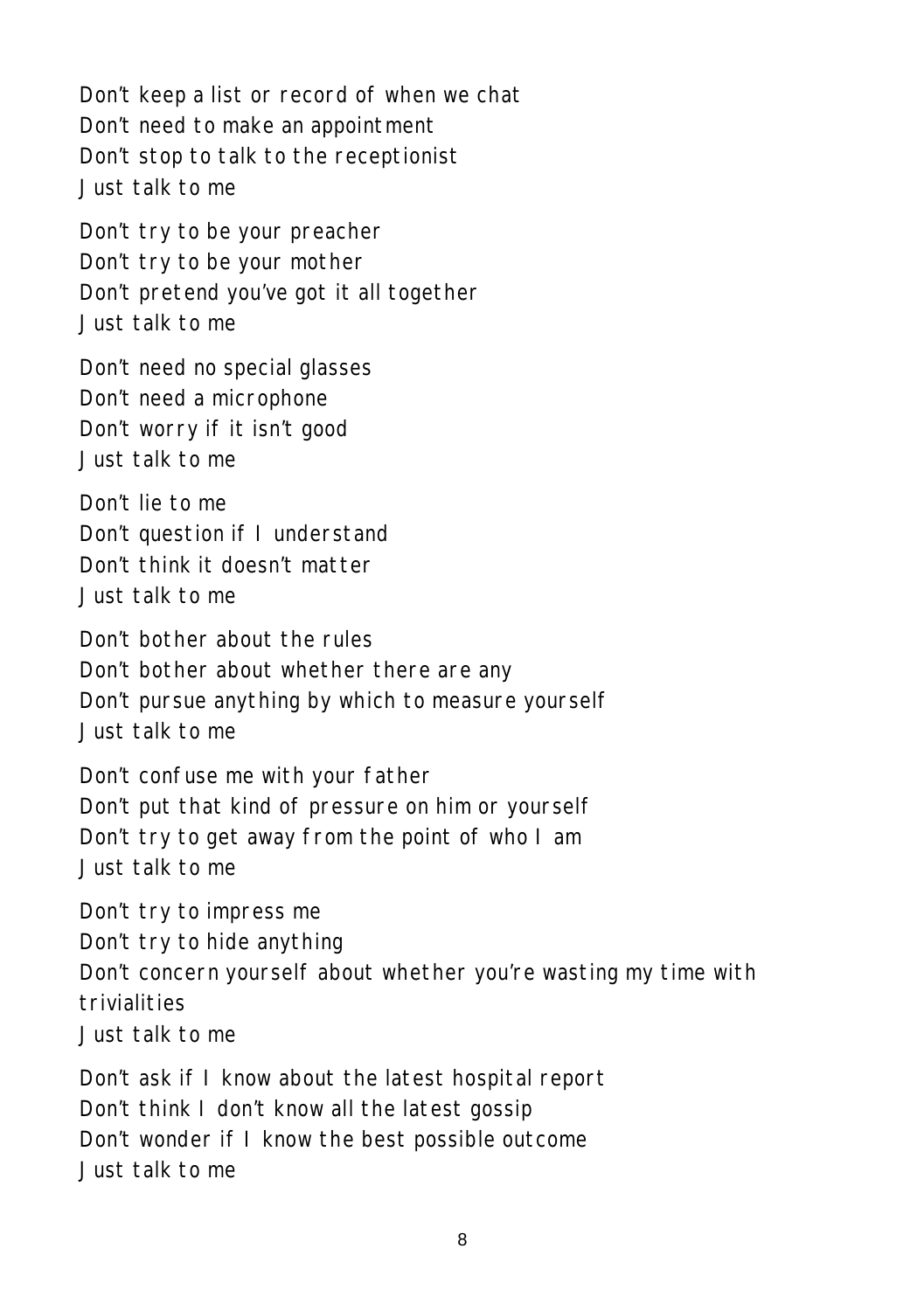Don't keep a list or record of when we chat Don't need to make an appointment Don't stop to talk to the receptionist Just talk to me

Don't try to be your preacher Don't try to be your mother Don't pretend you've got it all together Just talk to me

Don't need no special glasses Don't need a microphone Don't worry if it isn't good Just talk to me

Don't lie to me Don't question if I understand Don't think it doesn't matter Just talk to me

Don't bother about the rules Don't bother about whether there are any Don't pursue anything by which to measure yourself Just talk to me

Don't confuse me with your father Don't put that kind of pressure on him or yourself Don't try to get away from the point of who I am Just talk to me

Don't try to impress me Don't try to hide anything Don't concern yourself about whether you're wasting my time with trivialities Just talk to me

Don't ask if I know about the latest hospital report Don't think I don't know all the latest gossip Don't wonder if I know the best possible outcome Just talk to me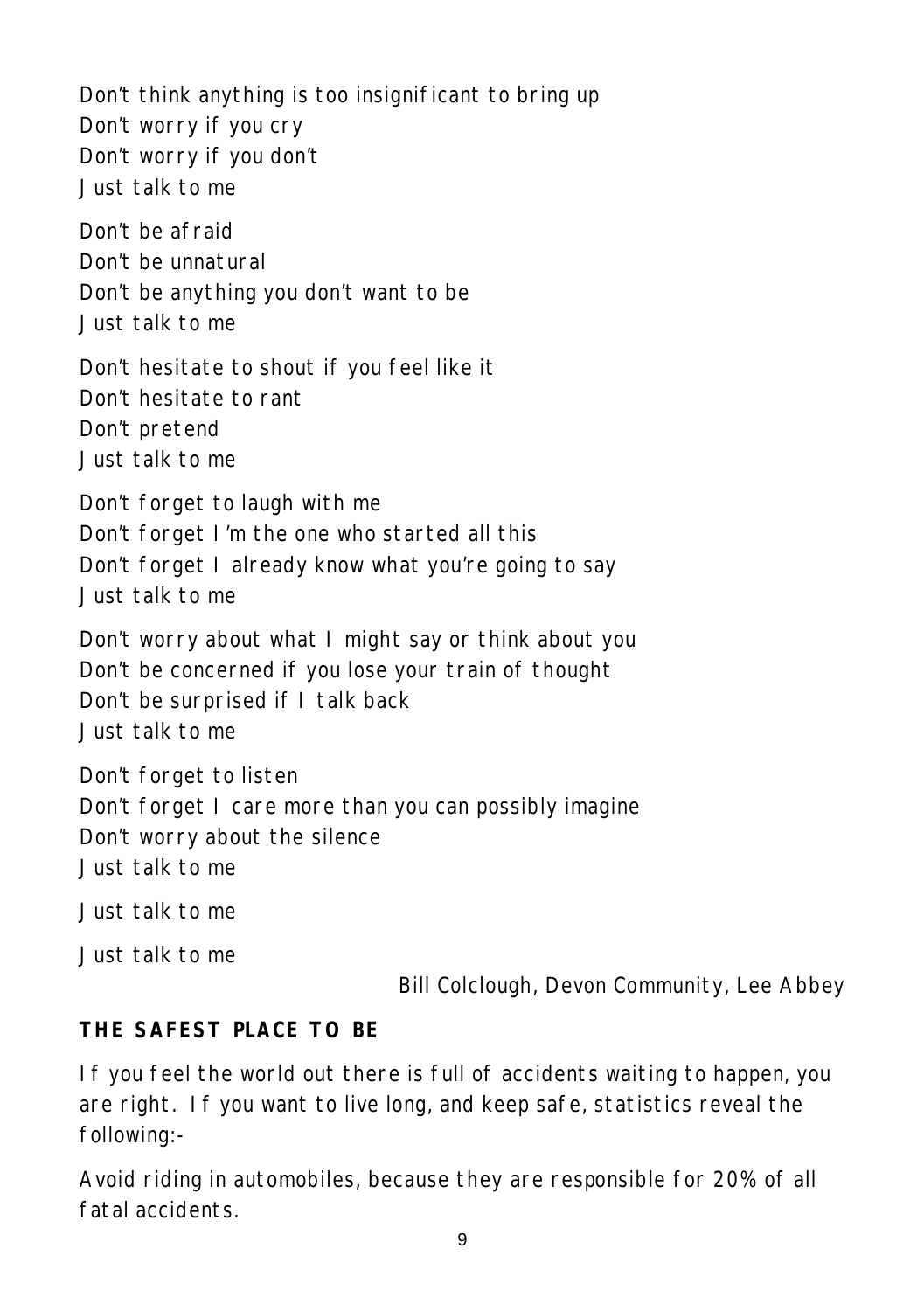Don't think anything is too insignificant to bring up Don't worry if you cry Don't worry if you don't Just talk to me Don't be afraid Don't be unnatural Don't be anything you don't want to be Just talk to me Don't hesitate to shout if you feel like it Don't hesitate to rant Don't pretend Just talk to me Don't forget to laugh with me Don't forget I'm the one who started all this Don't forget I already know what you're going to say Just talk to me Don't worry about what I might say or think about you Don't be concerned if you lose your train of thought Don't be surprised if I talk back Just talk to me Don't forget to listen Don't forget I care more than you can possibly imagine Don't worry about the silence Just talk to me Just talk to me Just talk to me

*Bill Colclough, Devon Community, Lee Abbey*

#### **THE SAFEST PLACE TO BE**

If you feel the world out there is full of accidents waiting to happen, you are right. If you want to live long, and keep safe, statistics reveal the following:-

Avoid riding in automobiles, because they are responsible for 20% of all fatal accidents.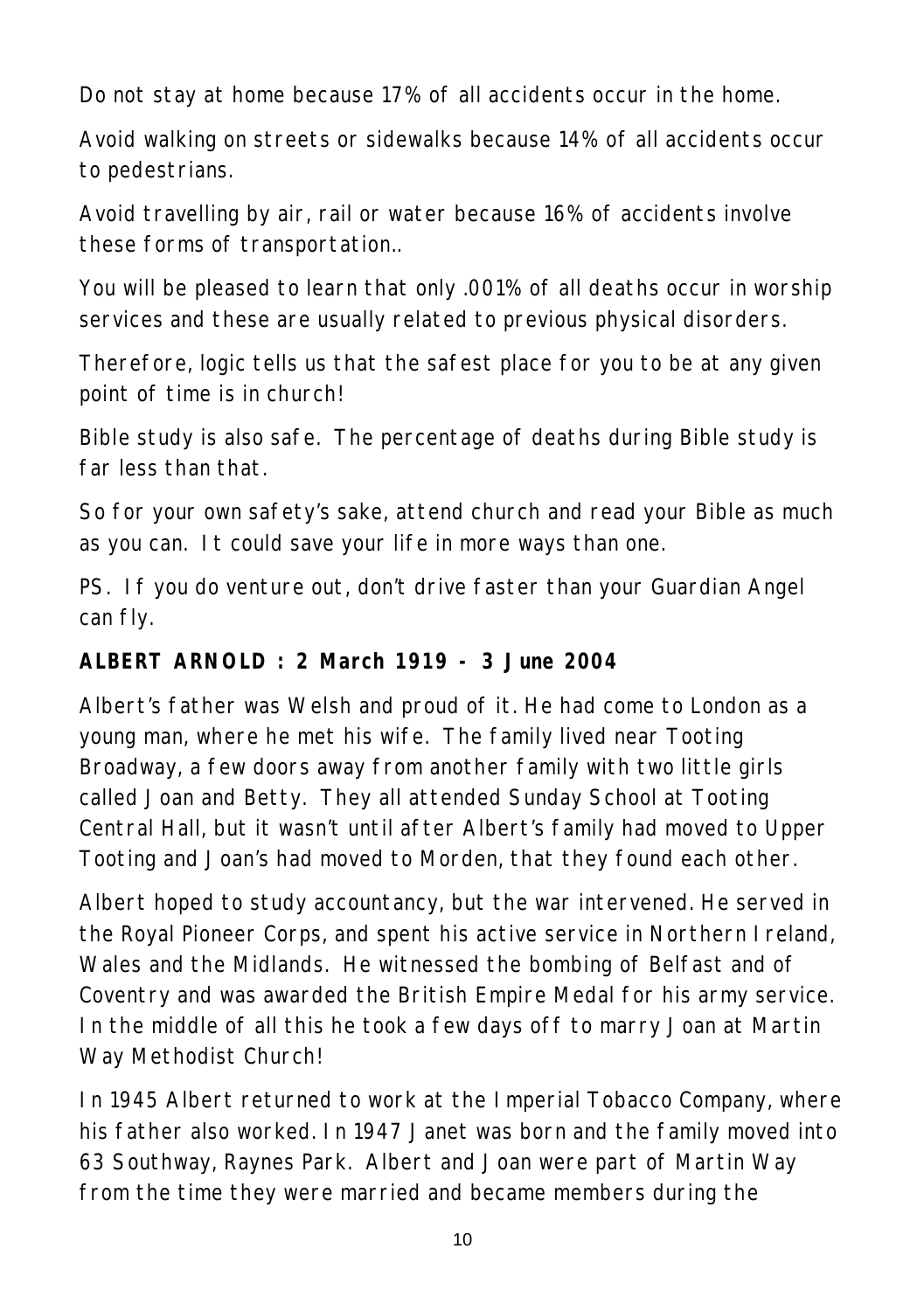Do not stay at home because 17% of all accidents occur in the home.

Avoid walking on streets or sidewalks because 14% of all accidents occur to pedestrians.

Avoid travelling by air, rail or water because 16% of accidents involve these forms of transportation..

You will be pleased to learn that only .001% of all deaths occur in worship services and these are usually related to previous physical disorders.

Therefore, logic tells us that the safest place for you to be at any given point of time is in church!

Bible study is also safe. The percentage of deaths during Bible study is far less than that.

So for your own safety's sake, attend church and read your Bible as much as you can. It could save your life in more ways than one.

PS. If you do venture out, don't drive faster than your Guardian Angel can fly.

#### **ALBERT ARNOLD : 2 March 1919 - 3 June 2004**

Albert's father was Welsh and proud of it. He had come to London as a young man, where he met his wife. The family lived near Tooting Broadway, a few doors away from another family with two little girls called Joan and Betty. They all attended Sunday School at Tooting Central Hall, but it wasn't until after Albert's family had moved to Upper Tooting and Joan's had moved to Morden, that they found each other.

Albert hoped to study accountancy, but the war intervened. He served in the Royal Pioneer Corps, and spent his active service in Northern Ireland, Wales and the Midlands. He witnessed the bombing of Belfast and of Coventry and was awarded the British Empire Medal for his army service. In the middle of all this he took a few days off to marry Joan at Martin Way Methodist Church!

In 1945 Albert returned to work at the Imperial Tobacco Company, where his father also worked. In 1947 Janet was born and the family moved into 63 Southway, Raynes Park. Albert and Joan were part of Martin Way from the time they were married and became members during the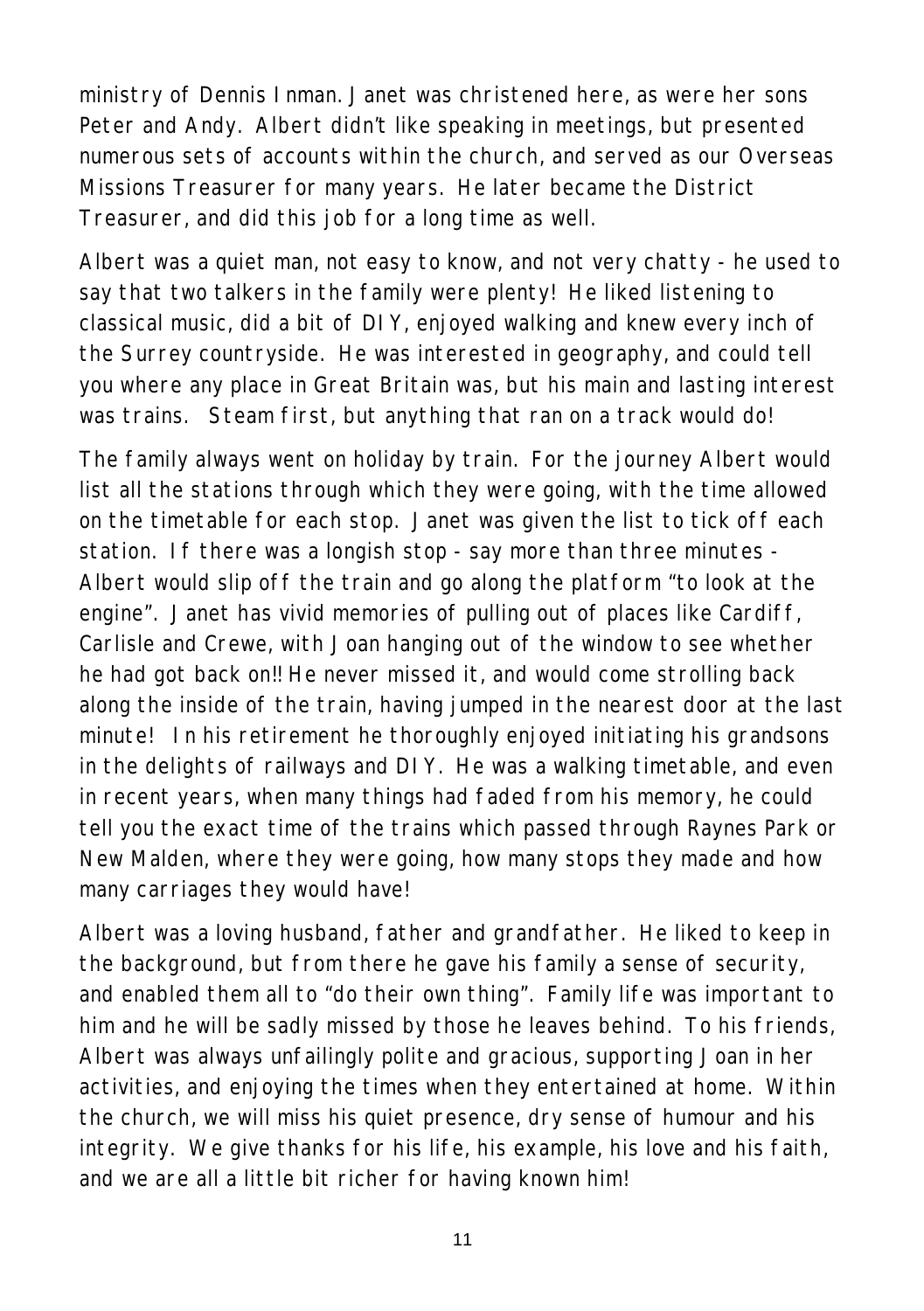ministry of Dennis Inman. Janet was christened here, as were her sons Peter and Andy. Albert didn't like speaking in meetings, but presented numerous sets of accounts within the church, and served as our Overseas Missions Treasurer for many years. He later became the District Treasurer, and did this job for a long time as well.

Albert was a quiet man, not easy to know, and not very chatty - he used to say that two talkers in the family were plenty! He liked listening to classical music, did a bit of DIY, enjoyed walking and knew every inch of the Surrey countryside. He was interested in geography, and could tell you where any place in Great Britain was, but his main and lasting interest was trains. Steam first, but anything that ran on a track would do!

The family always went on holiday by train. For the journey Albert would list all the stations through which they were going, with the time allowed on the timetable for each stop. Janet was given the list to tick off each station. If there was a longish stop - say more than three minutes - Albert would slip off the train and go along the platform "to look at the engine". Janet has vivid memories of pulling out of places like Cardiff, Carlisle and Crewe, with Joan hanging out of the window to see whether he had got back on!! He never missed it, and would come strolling back along the inside of the train, having jumped in the nearest door at the last minute! In his retirement he thoroughly enjoyed initiating his grandsons in the delights of railways and DIY. He was a walking timetable, and even in recent years, when many things had faded from his memory, he could tell you the exact time of the trains which passed through Raynes Park or New Malden, where they were going, how many stops they made and how many carriages they would have!

Albert was a loving husband, father and grandfather. He liked to keep in the background, but from there he gave his family a sense of security, and enabled them all to "do their own thing". Family life was important to him and he will be sadly missed by those he leaves behind. To his friends, Albert was always unfailingly polite and gracious, supporting Joan in her activities, and enjoying the times when they entertained at home. Within the church, we will miss his quiet presence, dry sense of humour and his integrity. We give thanks for his life, his example, his love and his faith, and we are all a little bit richer for having known him!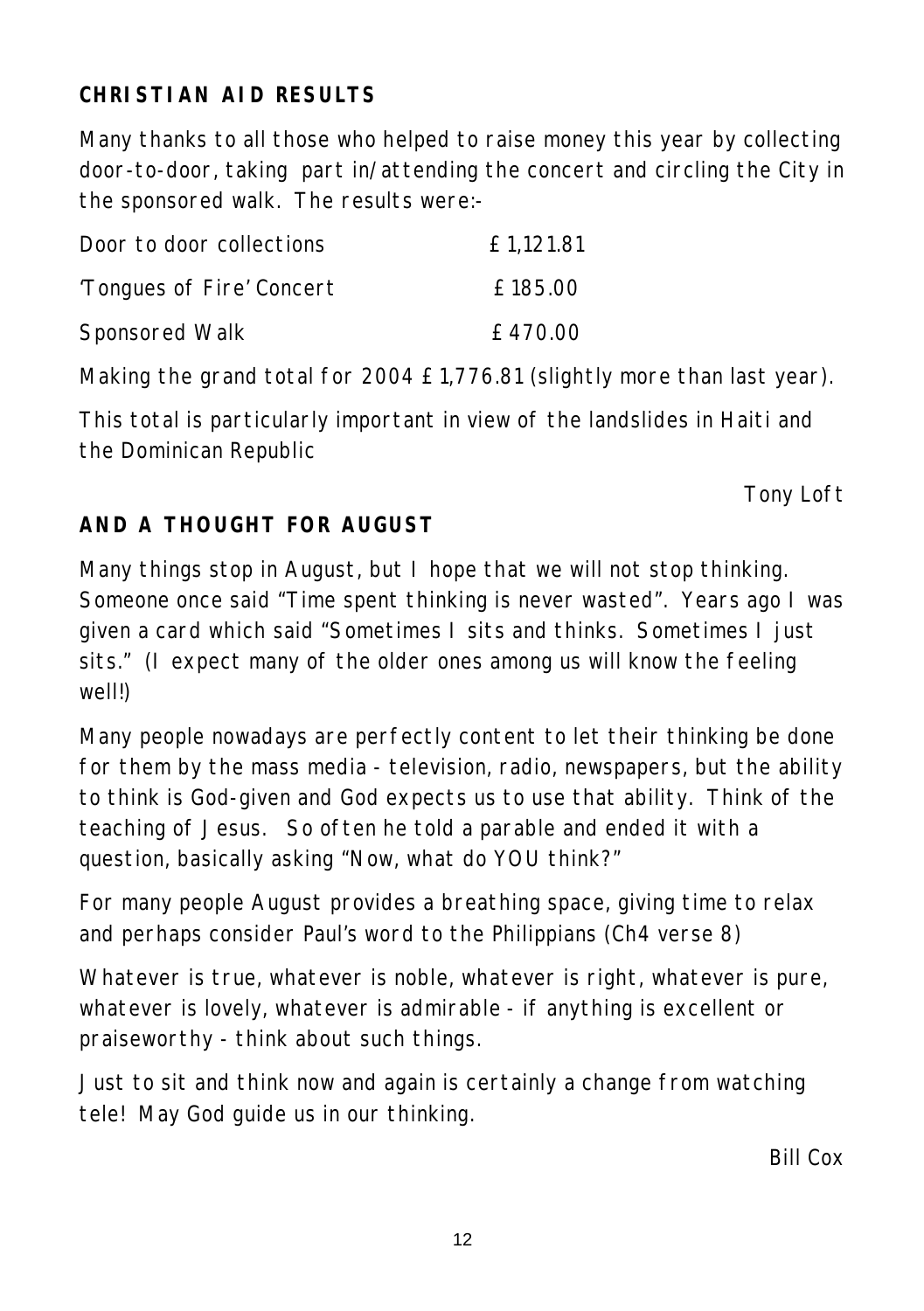# **CHRISTIAN AID RESULTS**

Many thanks to all those who helped to raise money this year by collecting door-to-door, taking part in/attending the concert and circling the City in the sponsored walk. The results were:-

| Door to door collections  | £1.121.81 |
|---------------------------|-----------|
| 'Tongues of Fire' Concert | £185.00   |
| Sponsored Walk            | £470.00   |

Making the grand total for 2004 £1,776.81 (slightly more than last year).

This total is particularly important in view of the landslides in Haiti and the Dominican Republic

*Tony Loft*

# **AND A THOUGHT FOR AUGUST**

Many things stop in August, but I hope that we will not stop thinking. Someone once said "Time spent thinking is never wasted". Years ago I was given a card which said "Sometimes I sits and thinks. Sometimes I just sits." (I expect many of the older ones among us will know the feeling well!)

Many people nowadays are perfectly content to let their thinking be done for them by the mass media - television, radio, newspapers, but the ability to think is God-given and God expects us to use that ability. Think of the teaching of Jesus. So often he told a parable and ended it with a question, basically asking "Now, what do YOU think?"

For many people August provides a breathing space, giving time to relax and perhaps consider Paul's word to the Philippians (Ch4 verse 8)

Whatever is true, whatever is noble, whatever is right, whatever is pure, whatever is lovely, whatever is admirable - if anything is excellent or praiseworthy - think about such things.

Just to sit and think now and again is certainly a change from watching tele! May God guide us in our thinking.

*Bill Cox*